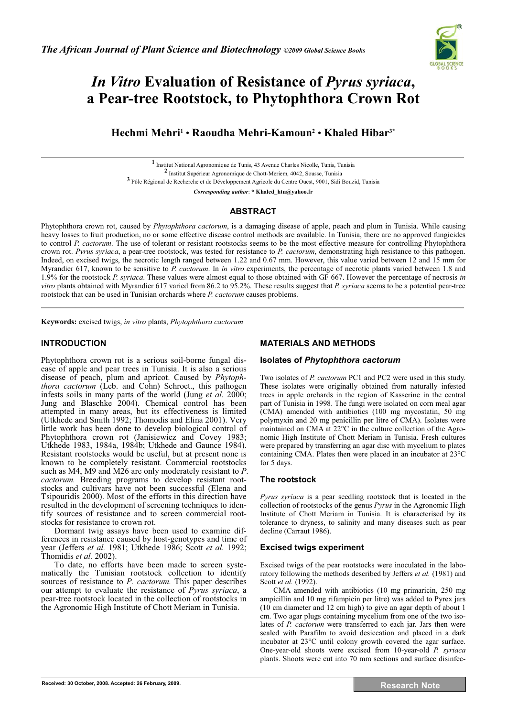

# *In Vitro* **Evaluation of Resistance of** *Pyrus syriaca***, a Pear-tree Rootstock, to Phytophthora Crown Rot**

**Hechmi Mehri1** • **Raoudha Mehri-Kamoun2** • **Khaled Hibar3\***

**1** Institut National Agronomique de Tunis, 43 Avenue Charles Nicolle, Tunis, Tunisia **2** Institut Supérieur Agronomique de Chott-Meriem, 4042, Sousse, Tunisia **3** Pôle Régional de Recherche et de Développement Agricole du Centre Ouest, 9001, Sidi Bouzid, Tunisia

*Corresponding author*: **\* Khaled\_htn@yahoo.fr** 

# **ABSTRACT**

Phytophthora crown rot, caused by *Phytophthora cactorum*, is a damaging disease of apple, peach and plum in Tunisia. While causing heavy losses to fruit production, no or some effective disease control methods are available. In Tunisia, there are no approved fungicides to control *P. cactorum*. The use of tolerant or resistant rootstocks seems to be the most effective measure for controlling Phytophthora crown rot. *Pyrus syriaca*, a pear-tree rootstock, was tested for resistance to *P. cactorum*, demonstrating high resistance to this pathogen. Indeed, on excised twigs, the necrotic length ranged between 1.22 and 0.67 mm. However, this value varied between 12 and 15 mm for Myrandier 617, known to be sensitive to *P. cactorum*. In *in vitro* experiments, the percentage of necrotic plants varied between 1.8 and 1.9% for the rootstock *P. syriaca*. These values were almost equal to those obtained with GF 667. However the percentage of necrosis *in vitro* plants obtained with Myrandier 617 varied from 86.2 to 95.2%. These results suggest that *P. syriaca* seems to be a potential pear-tree rootstock that can be used in Tunisian orchards where *P. cactorum* causes problems.  $\mathcal{L}_\mathcal{L} = \mathcal{L}_\mathcal{L} = \mathcal{L}_\mathcal{L} = \mathcal{L}_\mathcal{L} = \mathcal{L}_\mathcal{L} = \mathcal{L}_\mathcal{L} = \mathcal{L}_\mathcal{L} = \mathcal{L}_\mathcal{L} = \mathcal{L}_\mathcal{L} = \mathcal{L}_\mathcal{L} = \mathcal{L}_\mathcal{L} = \mathcal{L}_\mathcal{L} = \mathcal{L}_\mathcal{L} = \mathcal{L}_\mathcal{L} = \mathcal{L}_\mathcal{L} = \mathcal{L}_\mathcal{L} = \mathcal{L}_\mathcal{L}$ 

**Keywords:** excised twigs, *in vitro* plants, *Phytophthora cactorum*

# **INTRODUCTION**

Phytophthora crown rot is a serious soil-borne fungal disease of apple and pear trees in Tunisia. It is also a serious disease of peach, plum and apricot. Caused by *Phytophthora cactorum* (Leb. and Cohn) Schroet., this pathogen infests soils in many parts of the world (Jung *et al.* 2000; Jung and Blaschke 2004). Chemical control has been attempted in many areas, but its effectiveness is limited (Utkhede and Smith 1992; Thomodis and Elina 2001). Very little work has been done to develop biological control of Phytophthora crown rot (Janisiewicz and Covey 1983; Utkhede 1983, 1984a, 1984b; Utkhede and Gaunce 1984). Resistant rootstocks would be useful, but at present none is known to be completely resistant. Commercial rootstocks such as M4, M9 and M26 are only moderately resistant to *P. cactorum.* Breeding programs to develop resistant rootstocks and cultivars have not been successful (Elena and Tsipouridis 2000). Most of the efforts in this direction have resulted in the development of screening techniques to identify sources of resistance and to screen commercial rootstocks for resistance to crown rot.

Dormant twig assays have been used to examine differences in resistance caused by host-genotypes and time of year (Jeffers *et al.* 1981; Utkhede 1986; Scott *et al.* 1992; Thomidis *et al.* 2002).

To date, no efforts have been made to screen systematically the Tunisian rootstock collection to identify sources of resistance to *P. cactorum*. This paper describes our attempt to evaluate the resistance of *Pyrus syriaca*, a pear-tree rootstock located in the collection of rootstocks in the Agronomic High Institute of Chott Meriam in Tunisia.

# **MATERIALS AND METHODS**

### **Isolates of** *Phytophthora cactorum*

Two isolates of *P. cactorum* PC1 and PC2 were used in this study. These isolates were originally obtained from naturally infested trees in apple orchards in the region of Kasserine in the central part of Tunisia in 1998. The fungi were isolated on corn meal agar (CMA) amended with antibiotics (100 mg mycostatin, 50 mg polymyxin and 20 mg penicillin per litre of CMA). Isolates were maintained on CMA at 22°C in the culture collection of the Agronomic High Institute of Chott Meriam in Tunisia. Fresh cultures were prepared by transferring an agar disc with mycelium to plates containing CMA. Plates then were placed in an incubator at 23°C for 5 days.

## **The rootstock**

*Pyrus syriaca* is a pear seedling rootstock that is located in the collection of rootstocks of the genus *Pyrus* in the Agronomic High Institute of Chott Meriam in Tunisia. It is characterised by its tolerance to dryness, to salinity and many diseases such as pear decline (Carraut 1986).

## **Excised twigs experiment**

Excised twigs of the pear rootstocks were inoculated in the laboratory following the methods described by Jeffers *et al.* (1981) and Scott *et al.* (1992).

CMA amended with antibiotics (10 mg primaricin, 250 mg ampicillin and 10 mg rifampicin per litre) was added to Pyrex jars (10 cm diameter and 12 cm high) to give an agar depth of about 1 cm. Two agar plugs containing mycelium from one of the two isolates of *P. cactorum* were transferred to each jar. Jars then were sealed with Parafilm to avoid desiccation and placed in a dark incubator at 23°C until colony growth covered the agar surface. One-year-old shoots were excised from 10-year-old *P. syriaca* plants. Shoots were cut into 70 mm sections and surface disinfec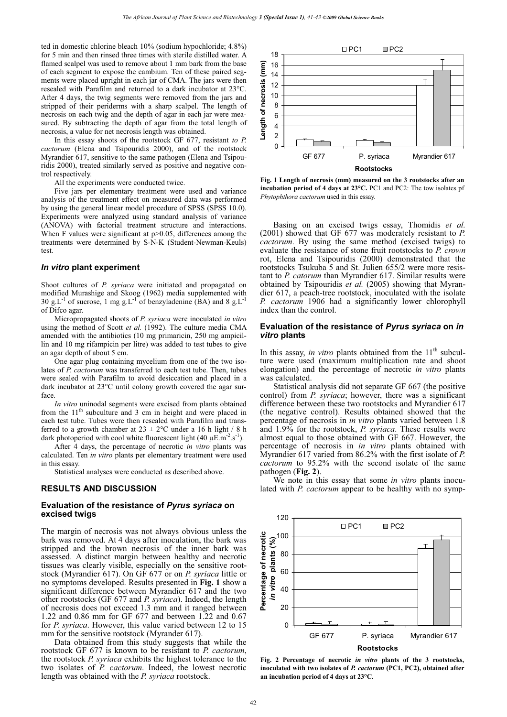ted in domestic chlorine bleach 10% (sodium hypochloride; 4.8%) for 5 min and then rinsed three times with sterile distilled water. A flamed scalpel was used to remove about 1 mm bark from the base of each segment to expose the cambium. Ten of these paired segments were placed upright in each jar of CMA. The jars were then resealed with Parafilm and returned to a dark incubator at 23°C. After 4 days, the twig segments were removed from the jars and stripped of their periderms with a sharp scalpel. The length of necrosis on each twig and the depth of agar in each jar were measured. By subtracting the depth of agar from the total length of necrosis, a value for net necrosis length was obtained.

In this essay shoots of the rootstock GF 677, resistant *to P. cactorum* (Elena and Tsipouridis 2000), and of the rootstock Myrandier 617, sensitive to the same pathogen (Elena and Tsipouridis 2000), treated similarly served as positive and negative control respectively.

All the experiments were conducted twice.

Five jars per elementary treatment were used and variance analysis of the treatment effect on measured data was performed by using the general linear model procedure of SPSS (SPSS 10.0). Experiments were analyzed using standard analysis of variance (ANOVA) with factorial treatment structure and interactions. When F values were significant at  $p > 0.05$ , differences among the treatments were determined by S-N-K (Student-Newman-Keuls) test.

#### *In vitro* **plant experiment**

Shoot cultures of *P. syriaca* were initiated and propagated on modified Murashige and Skoog (1962) media supplemented with 30 g.L<sup>-1</sup> of sucrose, 1 mg g.L<sup>-1</sup> of benzyladenine (BA) and 8 g.L<sup>-1</sup> of Difco agar.

Micropropagated shoots of *P. syriaca* were inoculated *in vitro* using the method of Scott *et al.* (1992). The culture media CMA amended with the antibiotics (10 mg primaricin, 250 mg ampicillin and 10 mg rifampicin per litre) was added to test tubes to give an agar depth of about 5 cm.

One agar plug containing mycelium from one of the two isolates of *P. cactorum* was transferred to each test tube. Then, tubes were sealed with Parafilm to avoid desiccation and placed in a dark incubator at 23°C until colony growth covered the agar surface.

*In vitro* uninodal segments were excised from plants obtained from the  $11<sup>th</sup>$  subculture and 3 cm in height and were placed in each test tube. Tubes were then resealed with Parafilm and transferred to a growth chamber at  $23 \pm 2$ °C under a 16 h light / 8 h dark photoperiod with cool white fluorescent light (40  $\mu$ E.m<sup>-2</sup>.s<sup>-1</sup>).

After 4 days, the percentage of necrotic *in vitro* plants was calculated. Ten *in vitro* plants per elementary treatment were used in this essay.

Statistical analyses were conducted as described above.

#### **RESULTS AND DISCUSSION**

#### **Evaluation of the resistance of** *Pyrus syriaca* **on excised twigs**

The margin of necrosis was not always obvious unless the bark was removed. At 4 days after inoculation, the bark was stripped and the brown necrosis of the inner bark was assessed. A distinct margin between healthy and necrotic tissues was clearly visible, especially on the sensitive rootstock (Myrandier 617). On GF 677 or on *P. syriaca* little or no symptoms developed. Results presented in **Fig. 1** show a significant difference between Myrandier 617 and the two other rootstocks (GF 677 and *P. syriaca*). Indeed, the length of necrosis does not exceed 1.3 mm and it ranged between 1.22 and 0.86 mm for GF 677 and between 1.22 and 0.67 for *P. syriaca*. However, this value varied between 12 to 15 mm for the sensitive rootstock (Myrander 617).

Data obtained from this study suggests that while the rootstock GF 677 is known to be resistant to *P. cactorum*, the rootstock *P. syriaca* exhibits the highest tolerance to the two isolates of *P. cactorum*. Indeed, the lowest necrotic length was obtained with the *P. syriaca* rootstock.



**Fig. 1 Length of necrosis (mm) measured on the 3 rootstocks after an incubation period of 4 days at 23°C.** PC1 and PC2: The tow isolates pf *Phytophthora cactorum* used in this essay.

Basing on an excised twigs essay, Thomidis *et al.* (2001) showed that GF 677 was moderately resistant to *P. cactorum*. By using the same method (excised twigs) to evaluate the resistance of stone fruit rootstocks to *P. crown* rot, Elena and Tsipouridis (2000) demonstrated that the rootstocks Tsukuba 5 and St. Julien 655/2 were more resistant to *P. catorum* than Myrandier 617. Similar results were obtained by Tsipouridis *et al.* (2005) showing that Myrandier 617, a peach-tree rootstock, inoculated with the isolate *P. cactorum* 1906 had a significantly lower chlorophyll index than the control.

#### **Evaluation of the resistance of** *Pyrus syriaca* **on** *in vitro* **plants**

In this assay, *in vitro* plants obtained from the  $11<sup>th</sup>$  subculture were used (maximum multiplication rate and shoot elongation) and the percentage of necrotic *in vitro* plants was calculated.

Statistical analysis did not separate GF 667 (the positive control) from *P. syriaca*; however, there was a significant difference between these two rootstocks and Myrandier 617 (the negative control). Results obtained showed that the percentage of necrosis in *in vitro* plants varied between 1.8 and 1.9% for the rootstock, *P. syriaca*. These results were almost equal to those obtained with GF 667. However, the percentage of necrosis in *in vitro* plants obtained with Myrandier 617 varied from 86.2% with the first isolate of *P. cactorum* to 95.2% with the second isolate of the same pathogen (**Fig. 2**).

We note in this essay that some *in vitro* plants inoculated with *P. cactorum* appear to be healthy with no symp-



**Fig. 2 Percentage of necrotic** *in vitro* **plants of the 3 rootstocks, inoculated with two isolates of** *P. cactorum* **(PC1, PC2), obtained after an incubation period of 4 days at 23°C.**